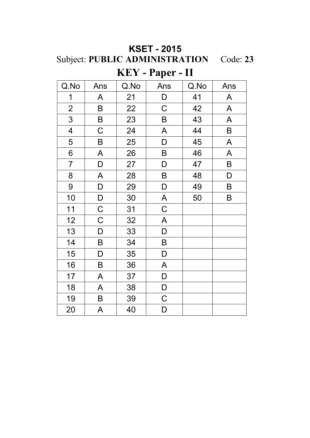| <b>KSET - 2015</b>                      |  |
|-----------------------------------------|--|
| Subject: PUBLIC ADMINISTRATION Code: 23 |  |
| $KEY - Paper - II$                      |  |

| Q.No                    | Ans         | Q.No | Ans                       | Q.No | Ans                       |
|-------------------------|-------------|------|---------------------------|------|---------------------------|
| $\mathbf 1$             | A           | 21   | D                         | 41   | $\mathsf{A}$              |
| $\overline{2}$          | $\sf B$     | 22   | $\mathsf C$               | 42   | $\boldsymbol{\mathsf{A}}$ |
| 3                       | $\sf B$     | 23   | B                         | 43   | A                         |
| $\overline{\mathbf{4}}$ | $\mathsf C$ | 24   | A                         | 44   | $\sf B$                   |
| 5                       | B           | 25   | $\mathsf D$               | 45   | $\mathsf{A}$              |
| 6                       | A           | 26   | $\sf B$                   | 46   | $\mathsf{A}$              |
| $\overline{7}$          | D           | 27   | D                         | 47   | B                         |
| 8                       | A           | 28   | B                         | 48   | D                         |
| 9                       | D           | 29   | D                         | 49   | B                         |
| 10                      | D           | 30   | $\boldsymbol{\mathsf{A}}$ | 50   | B                         |
| 11                      | $\mathsf C$ | 31   | $\mathsf C$               |      |                           |
| 12                      | $\mathsf C$ | 32   | A                         |      |                           |
| 13                      | D           | 33   | D                         |      |                           |
| 14                      | $\sf B$     | 34   | $\sf B$                   |      |                           |
| 15                      | $\mathsf D$ | 35   | D                         |      |                           |
| 16                      | B           | 36   | A                         |      |                           |
| 17                      | A           | 37   | D                         |      |                           |
| 18                      | A           | 38   | $\mathsf D$               |      |                           |
| 19                      | B           | 39   | $\mathsf C$               |      |                           |
| 20                      | A           | 40   | D                         |      |                           |